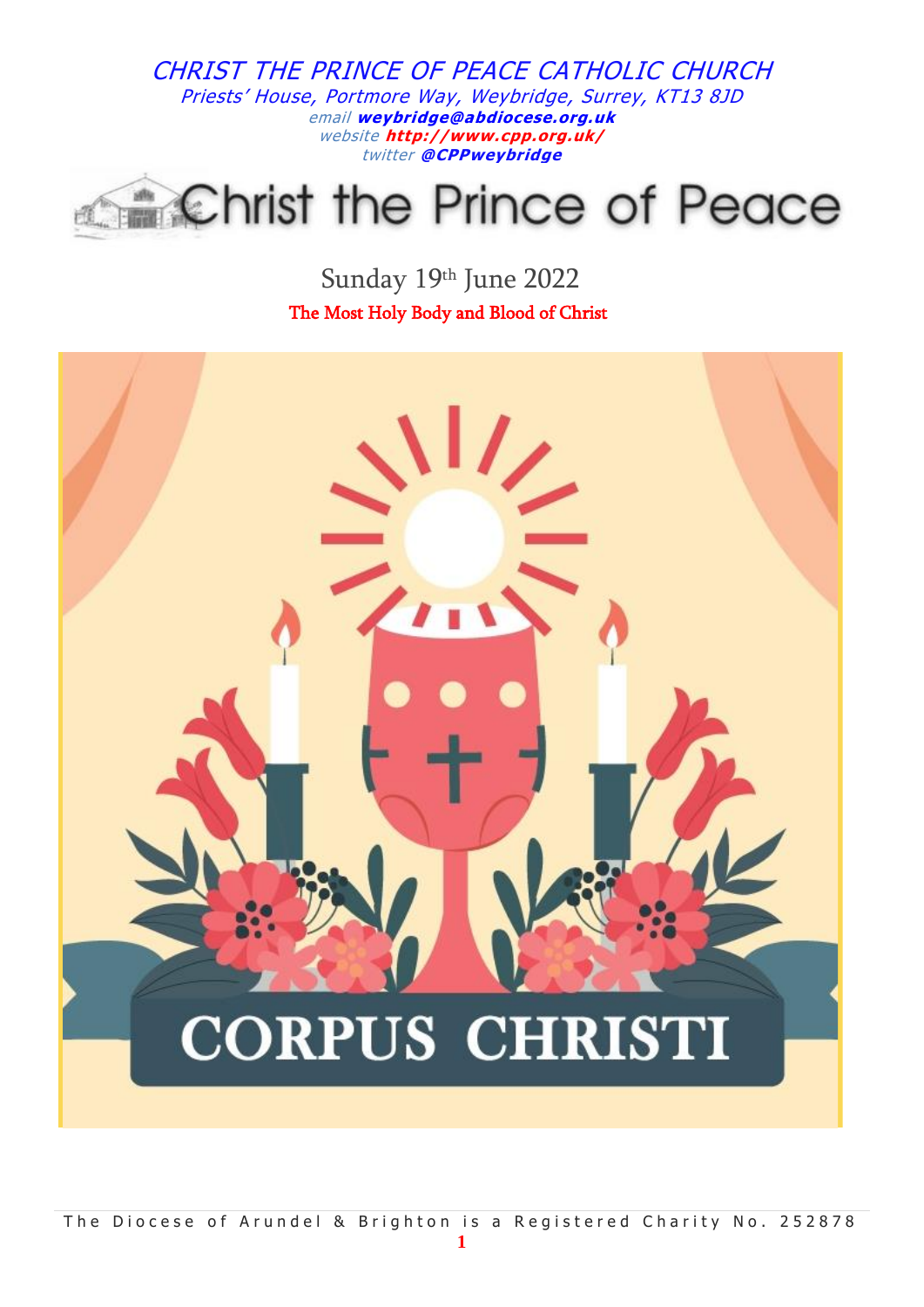# **Christ the Prince of Peace**

Sunday 19th June 2022 The Most Holy Body and Blood of Christ

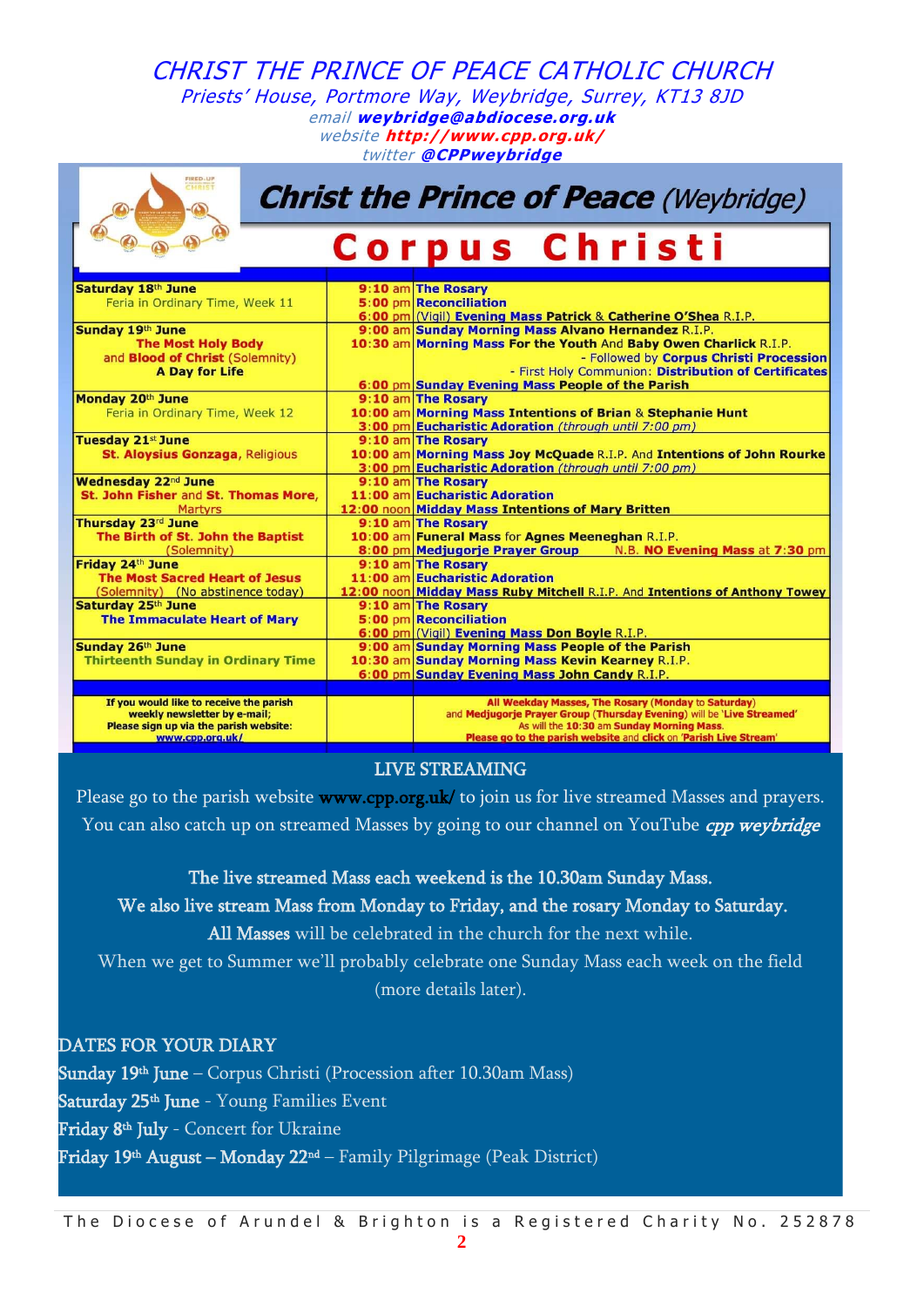| FIRED-UP<br><b>HRIST</b><br><b>Christ the Prince of Peace (Weybridge)</b> |  |                                                                             |
|---------------------------------------------------------------------------|--|-----------------------------------------------------------------------------|
|                                                                           |  | Corpus Christi                                                              |
| Saturday 18th June                                                        |  | 9:10 am The Rosary                                                          |
| Feria in Ordinary Time, Week 11                                           |  | 5:00 pm Reconciliation                                                      |
|                                                                           |  | 6:00 pm (Vigil) Evening Mass Patrick & Catherine O'Shea R.I.P.              |
| Sunday 19th June                                                          |  | 9:00 am Sunday Morning Mass Alvano Hernandez R.I.P.                         |
| <b>The Most Holy Body</b>                                                 |  | 10:30 am Morning Mass For the Youth And Baby Owen Charlick R.I.P.           |
| and <b>Blood of Christ</b> (Solemnity)                                    |  | - Followed by Corpus Christi Procession                                     |
| <b>A Day for Life</b>                                                     |  | - First Holy Communion: Distribution of Certificates                        |
|                                                                           |  | 6:00 pm Sunday Evening Mass People of the Parish                            |
| Monday 20th June                                                          |  | 9:10 am The Rosary                                                          |
| Feria in Ordinary Time, Week 12                                           |  | 10:00 am Morning Mass Intentions of Brian & Stephanie Hunt                  |
|                                                                           |  | 3:00 pm Eucharistic Adoration (through until 7:00 pm)                       |
| <b>Tuesday 21st June</b>                                                  |  | 9:10 am The Rosary                                                          |
| <b>St. Aloysius Gonzaga, Religious</b>                                    |  | 10:00 am Morning Mass Joy McQuade R.I.P. And Intentions of John Rourke      |
|                                                                           |  | 3:00 pm Eucharistic Adoration (through until 7:00 pm)                       |
| Wednesday 22 <sup>nd</sup> June<br>St. John Fisher and St. Thomas More,   |  | 9:10 am The Rosary<br>11:00 am Eucharistic Adoration                        |
| <b>Martyrs</b>                                                            |  | 12:00 noon Midday Mass Intentions of Mary Britten                           |
| Thursday 23rd June                                                        |  | 9:10 am The Rosary                                                          |
| The Birth of St. John the Baptist                                         |  | 10:00 am Funeral Mass for Agnes Meeneghan R.I.P.                            |
| (Solemnity)                                                               |  | 8:00 pm Medjugorje Prayer Group N.B. NO Evening Mass at 7:30 pm             |
| Friday 24th June                                                          |  | 9:10 am The Rosary                                                          |
| <b>The Most Sacred Heart of Jesus</b>                                     |  | 11:00 am Eucharistic Adoration                                              |
| (Solemnity) (No abstinence today)                                         |  | 12:00 noon Midday Mass Ruby Mitchell R.I.P. And Intentions of Anthony Towey |
| Saturday 25th June                                                        |  | 9:10 am The Rosary                                                          |
| <b>The Immaculate Heart of Mary</b>                                       |  | 5:00 pm Reconciliation                                                      |
|                                                                           |  | 6:00 pm (Vigil) Evening Mass Don Boyle R.I.P.                               |
| Sunday 26th June                                                          |  | 9:00 am Sunday Morning Mass People of the Parish                            |
| <b>Thirteenth Sunday in Ordinary Time</b>                                 |  | 10:30 am Sunday Morning Mass Kevin Kearney R.I.P.                           |
|                                                                           |  | 6:00 pm Sunday Evening Mass John Candy R.I.P.                               |
| If you would like to receive the parish                                   |  | All Weekday Masses, The Rosary (Monday to Saturday)                         |
| weekly newsletter by e-mail;                                              |  | and Medjugorje Prayer Group (Thursday Evening) will be 'Live Streamed'      |
| Please sign up via the parish website:                                    |  | As will the 10:30 am Sunday Morning Mass.                                   |
| www.cpp.org.uk/                                                           |  | Please go to the parish website and click on 'Parish Live Stream'           |

#### LIVE STREAMING

Please go to the parish website [www.cpp.org.uk/](http://www.cpp.org.uk/) to join us for live streamed Masses and prayers. You can also catch up on streamed Masses by going to our channel on YouTube *cpp weybridge* 

The live streamed Mass each weekend is the 10.30am Sunday Mass.

We also live stream Mass from Monday to Friday, and the rosary Monday to Saturday.

All Masses will be celebrated in the church for the next while.

When we get to Summer we'll probably celebrate one Sunday Mass each week on the field (more details later).

DATES FOR YOUR DIARY **Sunday 19th June** – Corpus Christi (Procession after 10.30am Mass) **Saturday 25th June** - Young Families Event **Friday 8th July** - Concert for Ukraine **Friday 19th August – Monday 22nd** – Family Pilgrimage (Peak District)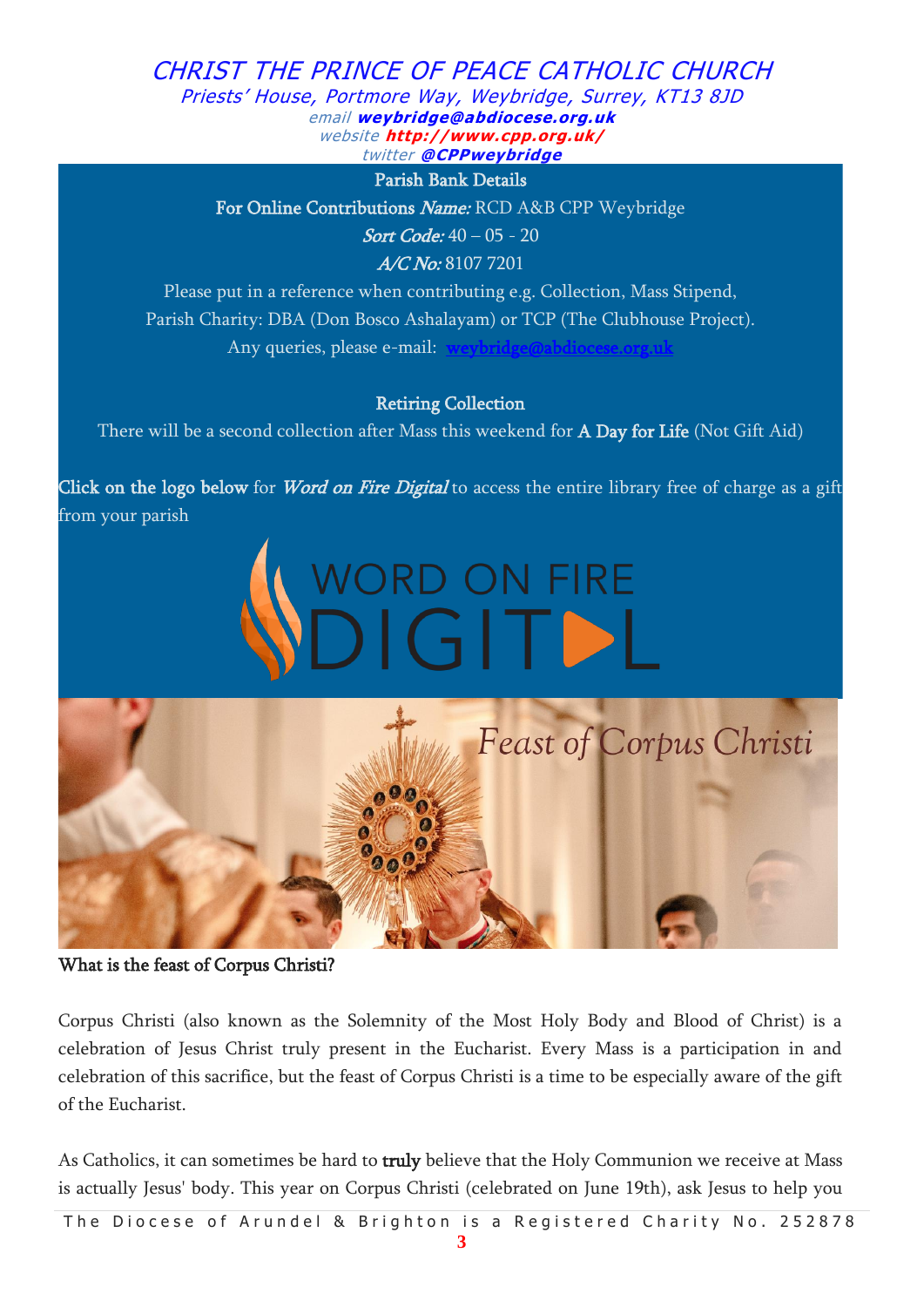Parish Bank Details

For Online Contributions Name: RCD A&B CPP Weybridge

Sort Code: 40 – 05 - 20

A/C No: 8107 7201

Please put in a reference when contributing e.g. Collection, Mass Stipend, Parish Charity: DBA (Don Bosco Ashalayam) or TCP (The Clubhouse Project). Any queries, please e-mail:

#### Retiring Collection

There will be a second collection after Mass this weekend for **A Day for Life** (Not Gift Aid)

Click on the logo below for *Word on Fire Digital* to access the entire library free of charge as a gift from your parish





What is the feast of Corpus Christi?

Corpus Christi (also known as the Solemnity of the Most Holy Body and Blood of Christ) is a celebration of Jesus Christ truly present in the Eucharist. Every Mass is a participation in and celebration of this sacrifice, but the feast of Corpus Christi is a time to be especially aware of the gift of the Eucharist.

As Catholics, it can sometimes be hard to truly believe that the Holy Communion we receive at Mass is actually Jesus' body. This year on Corpus Christi (celebrated on June 19th), ask Jesus to help you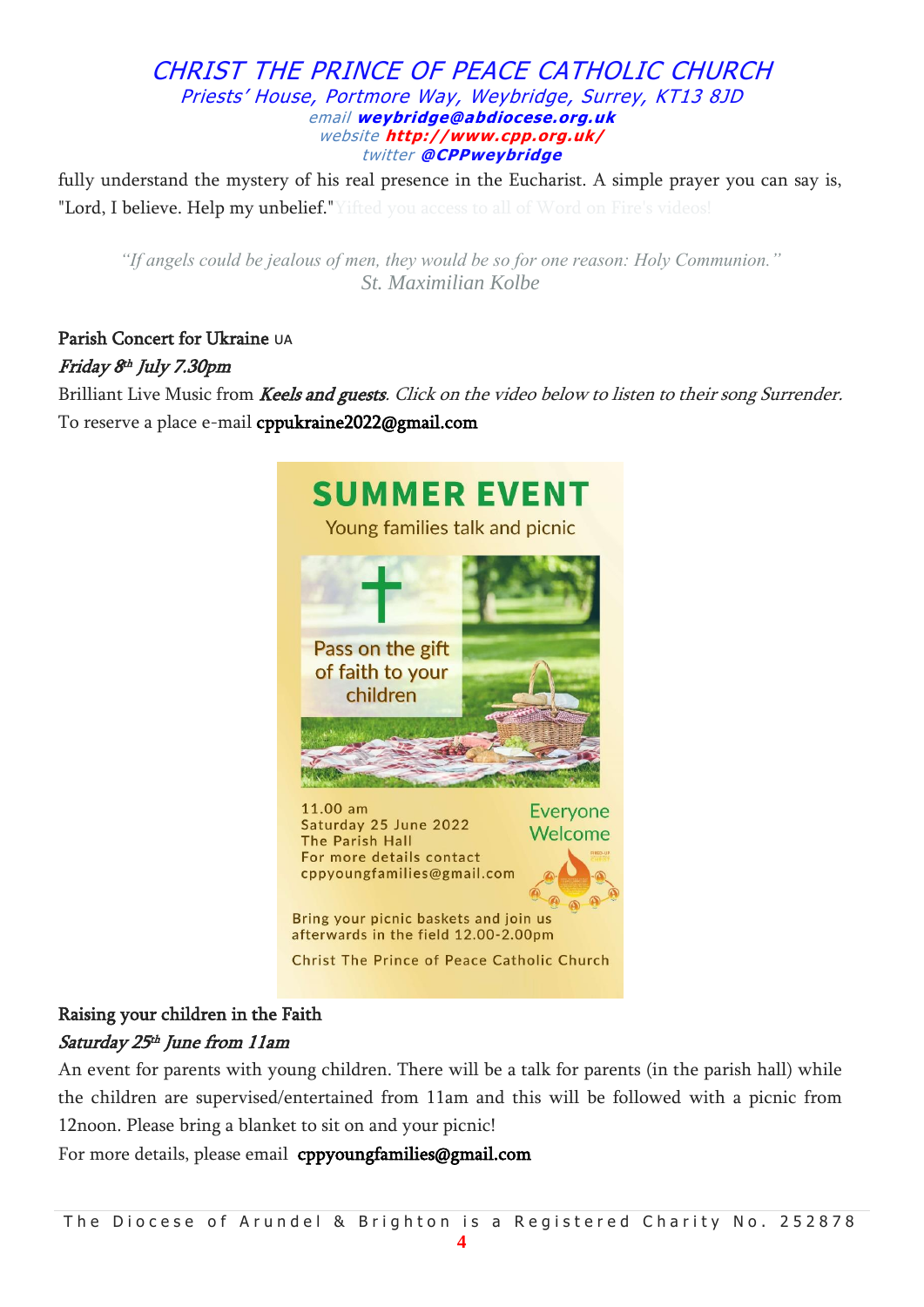fully understand the mystery of his real presence in the Eucharist. A simple prayer you can say is, "Lord, I believe. Help my unbelief." Yifted you access to all of Word on Fire's videos!

*"If angels could be jealous of men, they would be so for one reason: Holy Communion." St. Maximilian Kolbe*

# Parish Concert for Ukraine UA Friday 8 th July 7.30pm

Brilliant Live Music from Keels and guests. Click on the video below to listen to their song Surrender. To reserve a place e-mail [cppukraine2022@gmail.com](mailto:cppukraine2022@gmail.com)



# Raising your children in the Faith Saturday 25 th June from 11am

An event for parents with young children. There will be a talk for parents (in the parish hall) while the children are supervised/entertained from 11am and this will be followed with a picnic from 12noon. Please bring a blanket to sit on and your picnic!

For more details, please email [cppyoungfamilies@gmail.com](mailto:cppyoungfamilies@gmail.com)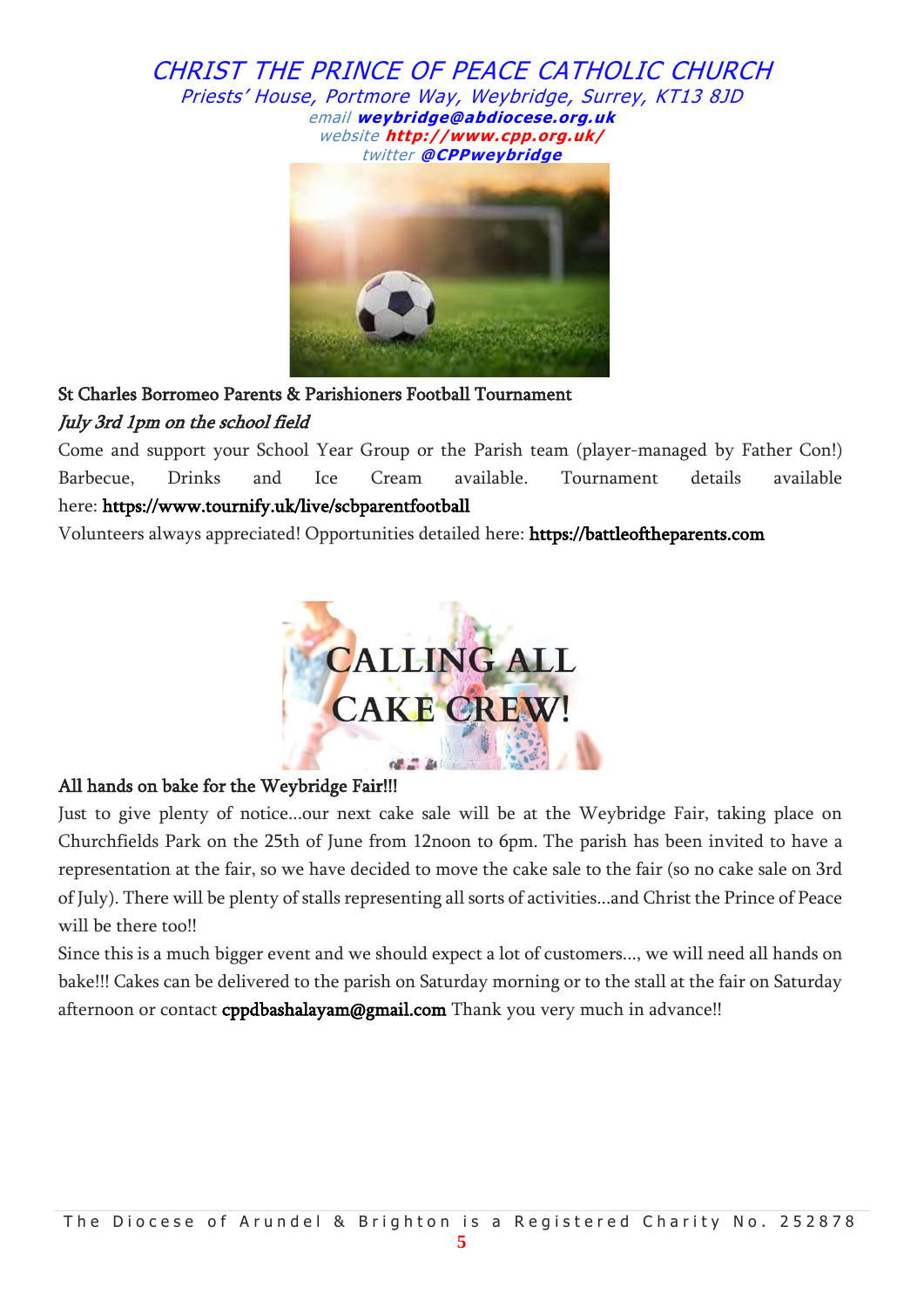

# St Charles Borromeo Parents & Parishioners Football Tournament July 3rd 1pm on the school field

Come and support your School Year Group or the Parish team (player-managed by Father Con!) Barbecue, Drinks and Ice Cream available. Tournament details available here: <https://www.tournify.uk/live/scbparentfootball>

Volunteers always appreciated! Opportunities detailed here: [https://battleoftheparents.com](https://battleoftheparents.com/)



## All hands on bake for the Weybridge Fair!!!

Just to give plenty of notice...our next cake sale will be at the Weybridge Fair, taking place on Churchfields Park on the 25th of June from 12noon to 6pm. The parish has been invited to have a representation at the fair, so we have decided to move the cake sale to the fair (so no cake sale on 3rd of July). There will be plenty of stalls representing all sorts of activities...and Christ the Prince of Peace will be there too!!

Since this is a much bigger event and we should expect a lot of customers..., we will need all hands on bake!!! Cakes can be delivered to the parish on Saturday morning or to the stall at the fair on Saturday afternoon or contact [cppdbashalayam@gmail.com](mailto:cppdbashalayam@gmail.com) Thank you very much in advance!!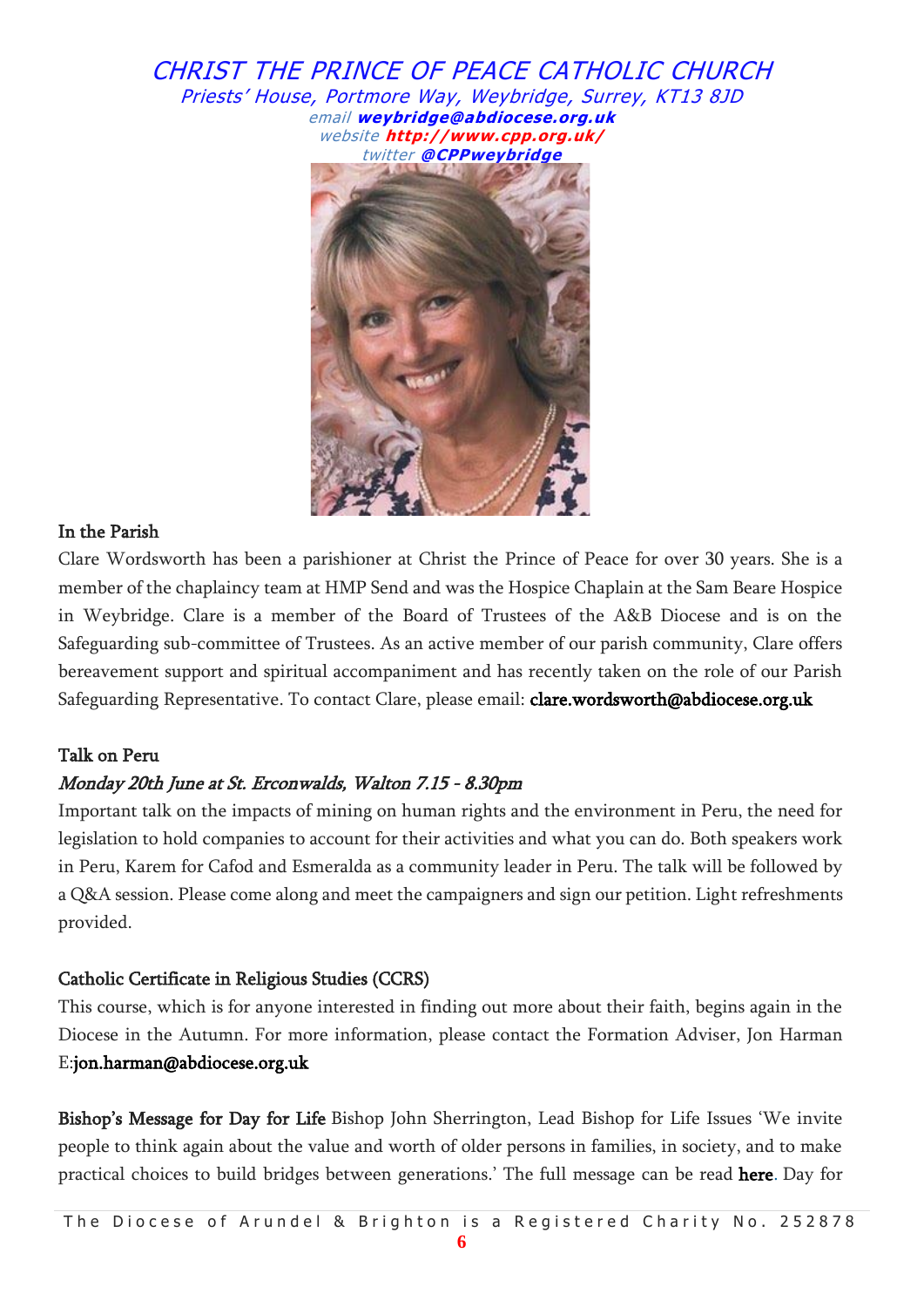

## In the Parish

Clare Wordsworth has been a parishioner at Christ the Prince of Peace for over 30 years. She is a member of the chaplaincy team at HMP Send and was the Hospice Chaplain at the Sam Beare Hospice in Weybridge. Clare is a member of the Board of Trustees of the A&B Diocese and is on the Safeguarding sub-committee of Trustees. As an active member of our parish community, Clare offers bereavement support and spiritual accompaniment and has recently taken on the role of our Parish Safeguarding Representative. To contact Clare, please email: **[clare.wordsworth@abdiocese.org.uk](mailto:clare.wordsworth@abdiocese.org.uk)** 

## Talk on Peru

## Monday 20th June at St. Erconwalds, Walton 7.15 - 8.30pm

Important talk on the impacts of mining on human rights and the environment in Peru, the need for legislation to hold companies to account for their activities and what you can do. Both speakers work in Peru, Karem for Cafod and Esmeralda as a community leader in Peru. The talk will be followed by a Q&A session. Please come along and meet the campaigners and sign our petition. Light refreshments provided.

## Catholic Certificate in Religious Studies (CCRS)

This course, which is for anyone interested in finding out more about their faith, begins again in the Diocese in the Autumn. For more information, please contact the Formation Adviser, Jon Harman E[:jon.harman@abdiocese.org.uk](mailto:jon.harman@abdiocese.org.uk)

Bishop's Message for Day for Life Bishop John Sherrington, Lead Bishop for Life Issues 'We invite people to think again about the value and worth of older persons in families, in society, and to make practical choices to build bridges between generations.' The full message can be read [here.](https://www.cbcew.org.uk/dfl22-bishops-message/) Day for